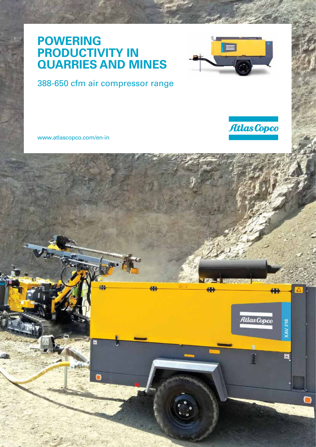#### **POWERING PRODUCTIVITY IN QUARRIES AND MINES**



#### 388-650 cfm air compressor range

www.atlascopco.com/en-in



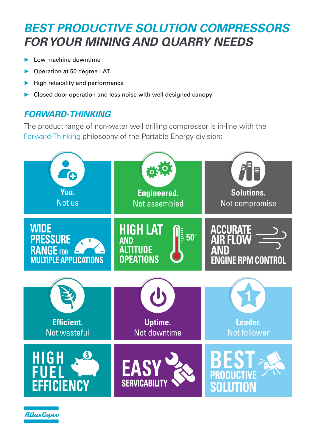## *BEST PRODUCTIVE SOLUTION COMPRESSORS FOR YOUR MINING AND QUARRY NEEDS*

- ► Low machine downtime
- ► Operation at 50 degree LAT
- ► High reliability and performance
- ► Closed door operation and less noise with well designed canopy

#### *FORWARD-THINKING*

The product range of non-water well drilling compressor is in-line with the Forward-Thinking philosophy of the Portable Energy division:

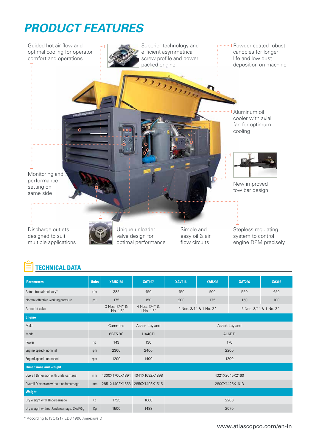# *PRODUCT FEATURES*



### **TECHNICAL DATA**

| <b>Parameters</b>                          | <b>Units</b> | <b>XAHS186</b>              | <b>XAT197</b>               | <b>XAV216</b>                                    | <b>XAH236</b> | <b>XAT266</b> | <b>XA316</b> |
|--------------------------------------------|--------------|-----------------------------|-----------------------------|--------------------------------------------------|---------------|---------------|--------------|
| Actual free air delivery*                  | cfm          | 385                         | 450                         | 450                                              | 500           | 550           | 650          |
| Normal effective working pressure          | psi          | 175                         | 150                         | 200                                              | 175           | 150           | 100          |
| Air outlet valve                           |              | 3 Nos. 3/4" &<br>1 No. 1.5" | 4 Nos. 3/4" &<br>1 No. 1.5" | 2 Nos. 3/4" & 1 No. 2"<br>5 Nos. 3/4" & 1 No. 2" |               |               |              |
| <b>Engine</b>                              |              |                             |                             |                                                  |               |               |              |
| Make                                       |              | Cummins                     | Ashok Leyland               | Ashok Leyland                                    |               |               |              |
| Model                                      |              | 6BT5.9C                     | HA4CTI                      | AL6DTi                                           |               |               |              |
| Power                                      | hp           | 143                         | 130                         | 170                                              |               |               |              |
| Engine speed - nominal                     | rpm          | 2300                        | 2400                        | 2200                                             |               |               |              |
| Engind speed - unloaded                    | rpm          | 1200                        | 1400                        | 1200                                             |               |               |              |
| <b>Dimensions and weight</b>               |              |                             |                             |                                                  |               |               |              |
| Overall Dimension with undercarriage       | mm           | 4300X1700X1894              | 4041X1692X1898              | 4321X2045X2160                                   |               |               |              |
| Overall Dimension without undercarriage    | mm           | 2851X1492X1556              | 2850X1493X1515              | 2800X1425X1613                                   |               |               |              |
| Weight                                     |              |                             |                             |                                                  |               |               |              |
| Dry weight with Undercarriage              | Kg           | 1725                        | 1668                        | 2200                                             |               |               |              |
| Dry weight without Undercarriage: Skid/Rig | Kg           | 1500                        | 1488                        | 2070                                             |               |               |              |

\* According to ISO1217 ED3 1996 Annexure D